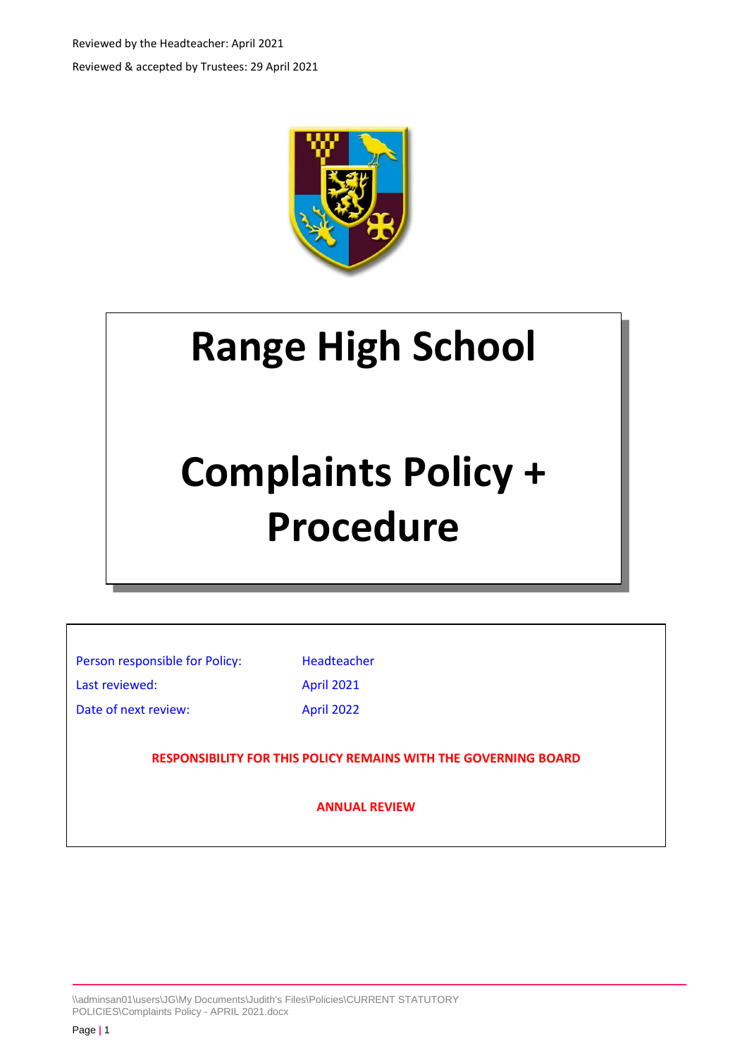Reviewed by the Headteacher: April 2021 Reviewed & accepted by Trustees: 29 April 2021



## **Range High School**

# **Complaints Policy + Procedure**

Person responsible for Policy: Headteacher Last reviewed: April 2021

Date of next review: April 2022

**RESPONSIBILITY FOR THIS POLICY REMAINS WITH THE GOVERNING BOARD**

**ANNUAL REVIEW**

\\adminsan01\users\JG\My Documents\Judith's Files\Policies\CURRENT STATUTORY POLICIES\Complaints Policy - APRIL 2021.docx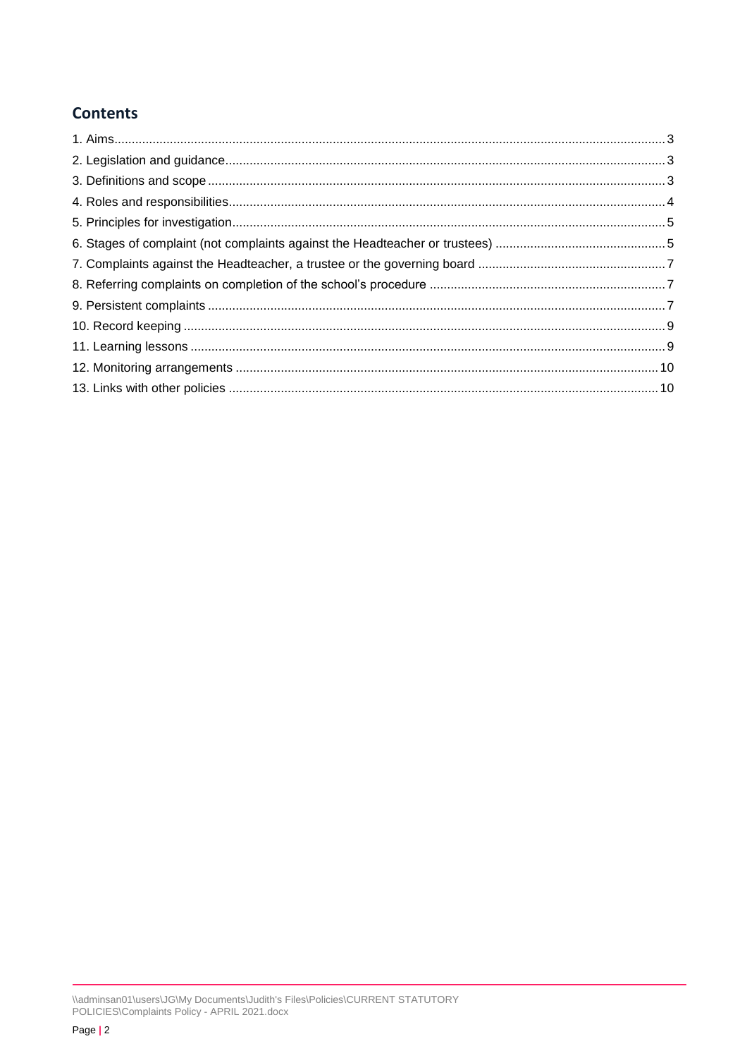## **Contents**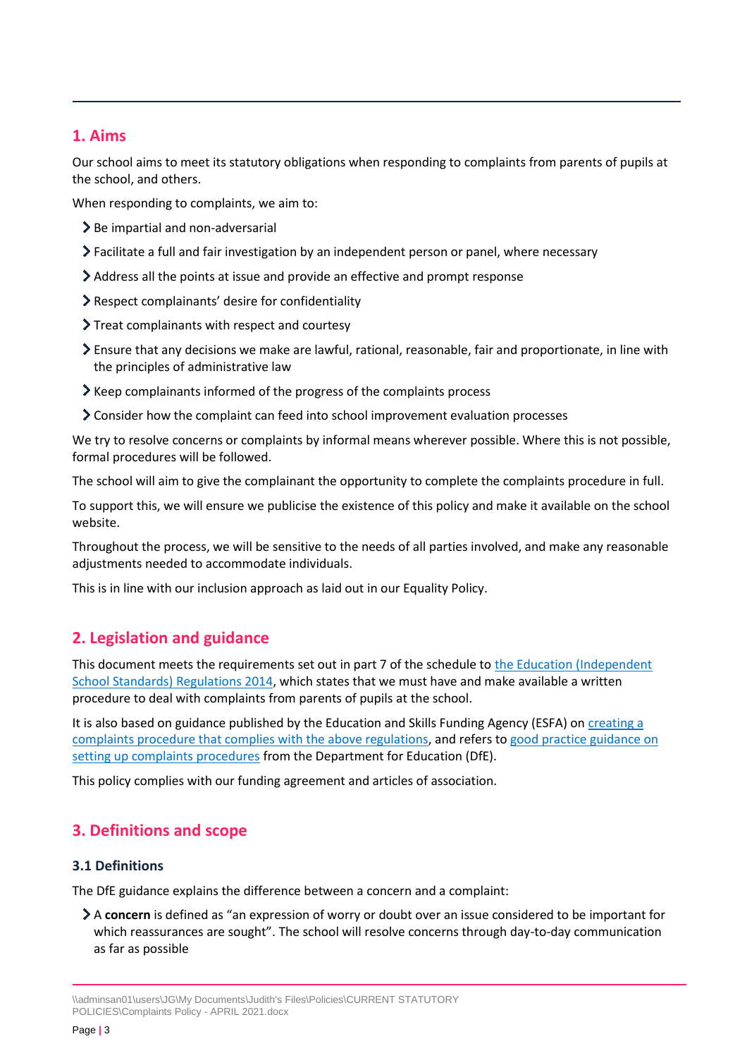## <span id="page-2-0"></span>**1. Aims**

Our school aims to meet its statutory obligations when responding to complaints from parents of pupils at the school, and others.

When responding to complaints, we aim to:

- $\geq$  Be impartial and non-adversarial
- Facilitate a full and fair investigation by an independent person or panel, where necessary
- Address all the points at issue and provide an effective and prompt response
- Respect complainants' desire for confidentiality
- Treat complainants with respect and courtesy
- Ensure that any decisions we make are lawful, rational, reasonable, fair and proportionate, in line with the principles of administrative law
- Keep complainants informed of the progress of the complaints process
- Consider how the complaint can feed into school improvement evaluation processes

We try to resolve concerns or complaints by informal means wherever possible. Where this is not possible, formal procedures will be followed.

The school will aim to give the complainant the opportunity to complete the complaints procedure in full.

To support this, we will ensure we publicise the existence of this policy and make it available on the school website.

Throughout the process, we will be sensitive to the needs of all parties involved, and make any reasonable adjustments needed to accommodate individuals.

This is in line with our inclusion approach as laid out in our Equality Policy.

## <span id="page-2-1"></span>**2. Legislation and guidance**

This document meets the requirements set out in part 7 of the schedule to the [Education \(Independent](http://www.legislation.gov.uk/uksi/2014/3283/schedule/made)  [School Standards\) Regulations 2014,](http://www.legislation.gov.uk/uksi/2014/3283/schedule/made) which states that we must have and make available a written procedure to deal with complaints from parents of pupils at the school.

It is also based on guidance published by the Education and Skills Funding Agency (ESFA) on creating a [complaints procedure that complies with the above regulations,](https://www.gov.uk/government/publications/setting-up-an-academies-complaints-procedure) and refers t[o good practice guidance on](https://www.gov.uk/government/publications/school-complaints-procedures)  [setting up complaints procedures](https://www.gov.uk/government/publications/school-complaints-procedures) from the Department for Education (DfE).

This policy complies with our funding agreement and articles of association.

## <span id="page-2-2"></span>**3. Definitions and scope**

#### **3.1 Definitions**

The DfE guidance explains the difference between a concern and a complaint:

A **concern** is defined as "an expression of worry or doubt over an issue considered to be important for which reassurances are sought". The school will resolve concerns through day-to-day communication as far as possible

<sup>\\</sup>adminsan01\users\JG\My Documents\Judith's Files\Policies\CURRENT STATUTORY POLICIES\Complaints Policy - APRIL 2021.docx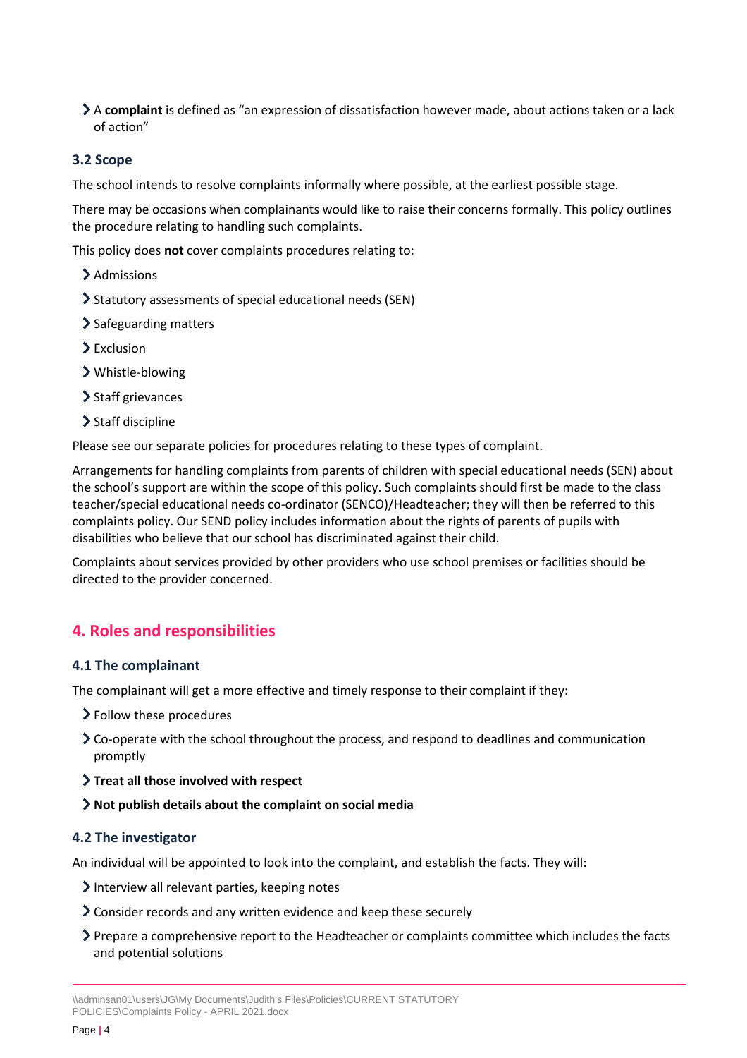A **complaint** is defined as "an expression of dissatisfaction however made, about actions taken or a lack of action"

#### **3.2 Scope**

The school intends to resolve complaints informally where possible, at the earliest possible stage.

There may be occasions when complainants would like to raise their concerns formally. This policy outlines the procedure relating to handling such complaints.

This policy does **not** cover complaints procedures relating to:

- > Admissions
- Statutory assessments of special educational needs (SEN)
- > Safeguarding matters
- Exclusion
- Whistle-blowing
- > Staff grievances
- > Staff discipline

Please see our separate policies for procedures relating to these types of complaint.

Arrangements for handling complaints from parents of children with special educational needs (SEN) about the school's support are within the scope of this policy. Such complaints should first be made to the class teacher/special educational needs co-ordinator (SENCO)/Headteacher; they will then be referred to this complaints policy. Our SEND policy includes information about the rights of parents of pupils with disabilities who believe that our school has discriminated against their child.

Complaints about services provided by other providers who use school premises or facilities should be directed to the provider concerned.

## <span id="page-3-0"></span>**4. Roles and responsibilities**

#### **4.1 The complainant**

The complainant will get a more effective and timely response to their complaint if they:

- Follow these procedures
- Co-operate with the school throughout the process, and respond to deadlines and communication promptly
- **Treat all those involved with respect**
- **Not publish details about the complaint on social media**

#### **4.2 The investigator**

An individual will be appointed to look into the complaint, and establish the facts. They will:

- Interview all relevant parties, keeping notes
- Consider records and any written evidence and keep these securely
- Prepare a comprehensive report to the Headteacher or complaints committee which includes the facts and potential solutions

<sup>\\</sup>adminsan01\users\JG\My Documents\Judith's Files\Policies\CURRENT STATUTORY POLICIES\Complaints Policy - APRIL 2021.docx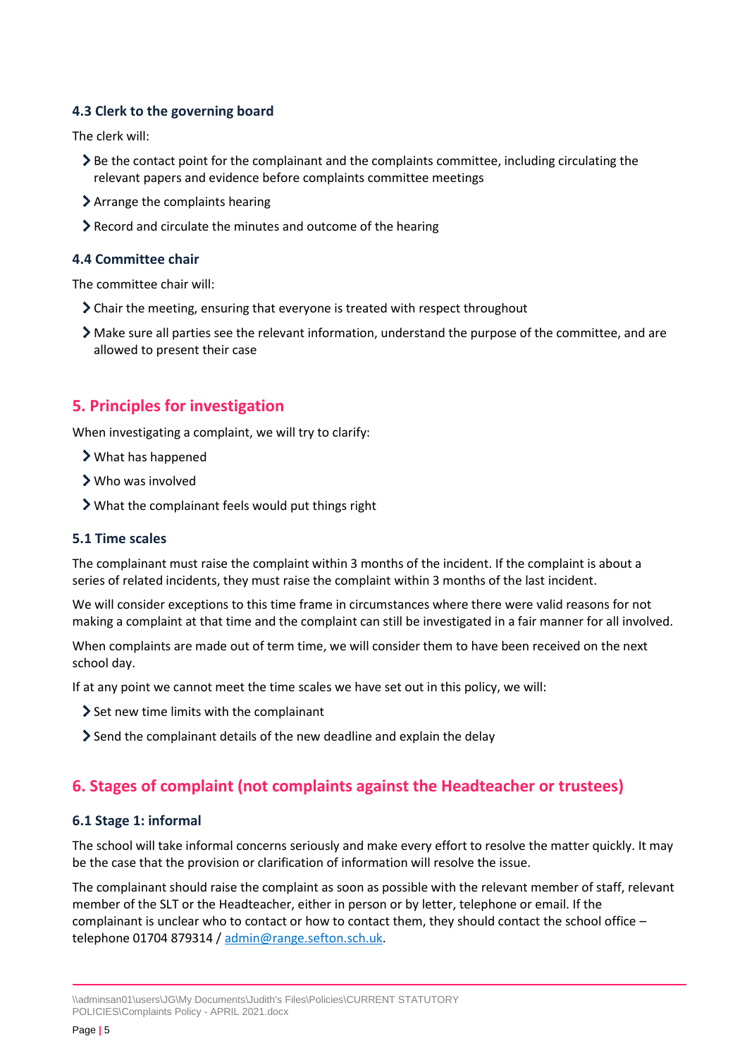#### **4.3 Clerk to the governing board**

The clerk will:

- $\geq$  Be the contact point for the complainant and the complaints committee, including circulating the relevant papers and evidence before complaints committee meetings
- Arrange the complaints hearing
- Record and circulate the minutes and outcome of the hearing

#### **4.4 Committee chair**

The committee chair will:

- Chair the meeting, ensuring that everyone is treated with respect throughout
- Make sure all parties see the relevant information, understand the purpose of the committee, and are allowed to present their case

## <span id="page-4-0"></span>**5. Principles for investigation**

When investigating a complaint, we will try to clarify:

- What has happened
- Who was involved
- What the complainant feels would put things right

#### **5.1 Time scales**

The complainant must raise the complaint within 3 months of the incident. If the complaint is about a series of related incidents, they must raise the complaint within 3 months of the last incident.

We will consider exceptions to this time frame in circumstances where there were valid reasons for not making a complaint at that time and the complaint can still be investigated in a fair manner for all involved.

When complaints are made out of term time, we will consider them to have been received on the next school day.

If at any point we cannot meet the time scales we have set out in this policy, we will:

- $\ge$  Set new time limits with the complainant
- Send the complainant details of the new deadline and explain the delay

## <span id="page-4-1"></span>**6. Stages of complaint (not complaints against the Headteacher or trustees)**

#### **6.1 Stage 1: informal**

The school will take informal concerns seriously and make every effort to resolve the matter quickly. It may be the case that the provision or clarification of information will resolve the issue.

The complainant should raise the complaint as soon as possible with the relevant member of staff, relevant member of the SLT or the Headteacher, either in person or by letter, telephone or email. If the complainant is unclear who to contact or how to contact them, they should contact the school office – telephone 01704 879314 / [admin@range.sefton.sch.uk.](mailto:admin@range.sefton.sch.uk)

<sup>\\</sup>adminsan01\users\JG\My Documents\Judith's Files\Policies\CURRENT STATUTORY POLICIES\Complaints Policy - APRIL 2021.docx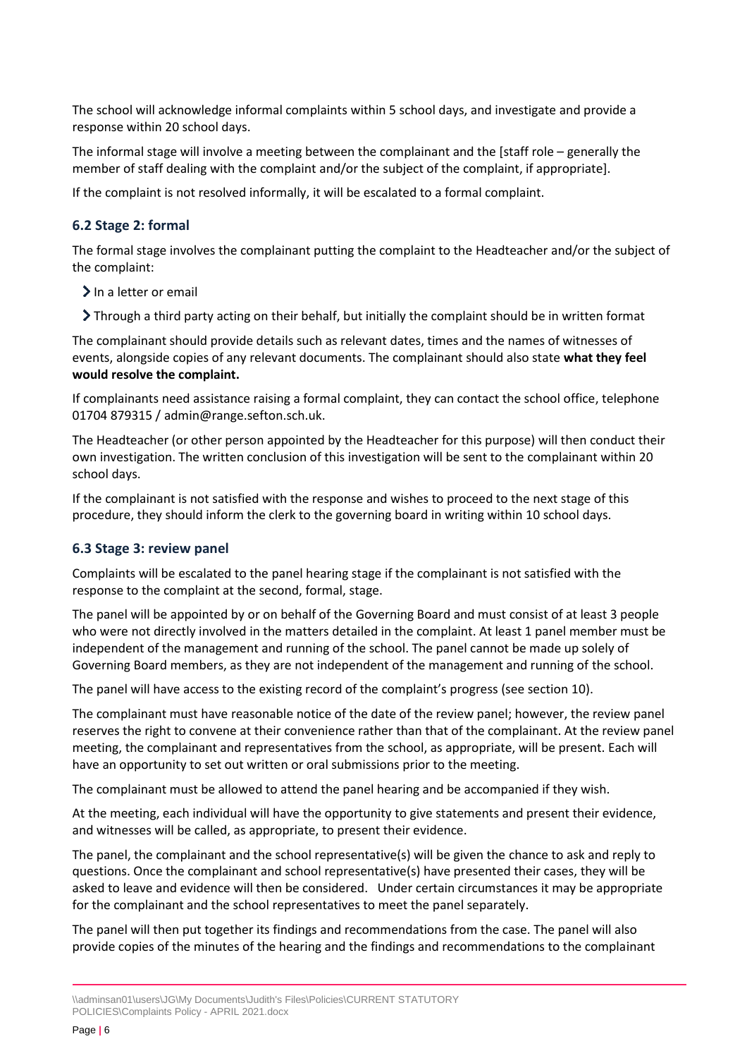The school will acknowledge informal complaints within 5 school days, and investigate and provide a response within 20 school days.

The informal stage will involve a meeting between the complainant and the [staff role – generally the member of staff dealing with the complaint and/or the subject of the complaint, if appropriate].

If the complaint is not resolved informally, it will be escalated to a formal complaint.

#### **6.2 Stage 2: formal**

The formal stage involves the complainant putting the complaint to the Headteacher and/or the subject of the complaint:

- $\sum$  In a letter or email
- Through a third party acting on their behalf, but initially the complaint should be in written format

The complainant should provide details such as relevant dates, times and the names of witnesses of events, alongside copies of any relevant documents. The complainant should also state **what they feel would resolve the complaint.** 

If complainants need assistance raising a formal complaint, they can contact the school office, telephone 01704 879315 / admin@range.sefton.sch.uk.

The Headteacher (or other person appointed by the Headteacher for this purpose) will then conduct their own investigation. The written conclusion of this investigation will be sent to the complainant within 20 school days.

If the complainant is not satisfied with the response and wishes to proceed to the next stage of this procedure, they should inform the clerk to the governing board in writing within 10 school days.

#### **6.3 Stage 3: review panel**

Complaints will be escalated to the panel hearing stage if the complainant is not satisfied with the response to the complaint at the second, formal, stage.

The panel will be appointed by or on behalf of the Governing Board and must consist of at least 3 people who were not directly involved in the matters detailed in the complaint. At least 1 panel member must be independent of the management and running of the school. The panel cannot be made up solely of Governing Board members, as they are not independent of the management and running of the school.

The panel will have access to the existing record of the complaint's progress (see section 10).

The complainant must have reasonable notice of the date of the review panel; however, the review panel reserves the right to convene at their convenience rather than that of the complainant. At the review panel meeting, the complainant and representatives from the school, as appropriate, will be present. Each will have an opportunity to set out written or oral submissions prior to the meeting.

The complainant must be allowed to attend the panel hearing and be accompanied if they wish.

At the meeting, each individual will have the opportunity to give statements and present their evidence, and witnesses will be called, as appropriate, to present their evidence.

The panel, the complainant and the school representative(s) will be given the chance to ask and reply to questions. Once the complainant and school representative(s) have presented their cases, they will be asked to leave and evidence will then be considered. Under certain circumstances it may be appropriate for the complainant and the school representatives to meet the panel separately.

The panel will then put together its findings and recommendations from the case. The panel will also provide copies of the minutes of the hearing and the findings and recommendations to the complainant

<sup>\\</sup>adminsan01\users\JG\My Documents\Judith's Files\Policies\CURRENT STATUTORY POLICIES\Complaints Policy - APRIL 2021.docx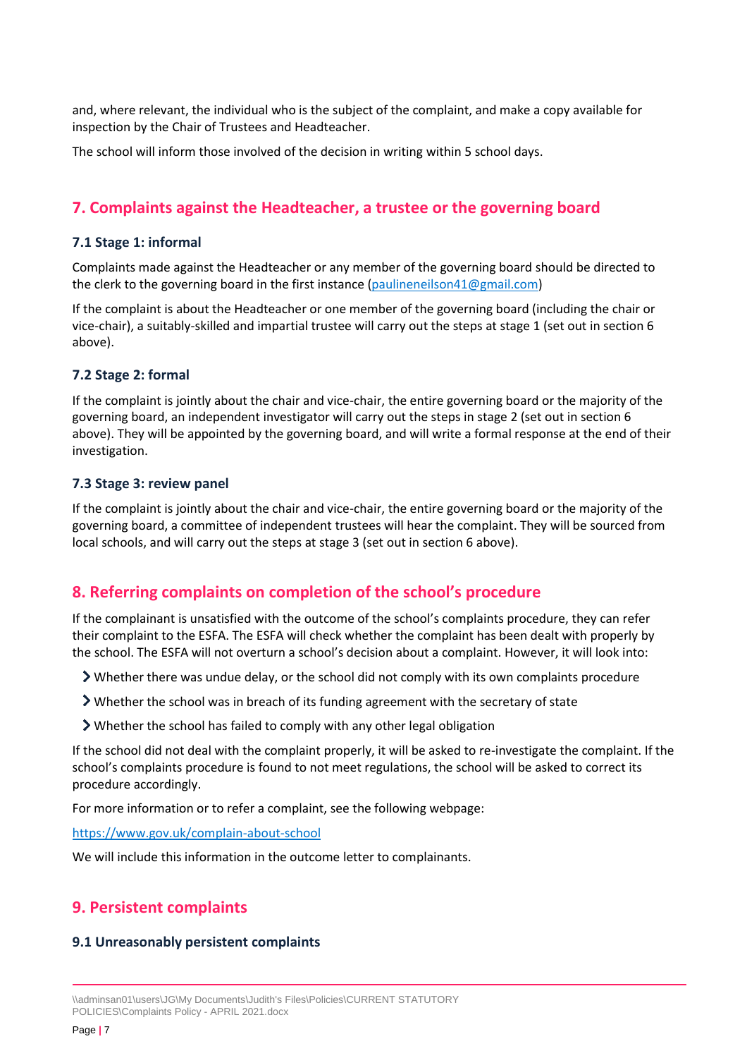and, where relevant, the individual who is the subject of the complaint, and make a copy available for inspection by the Chair of Trustees and Headteacher.

The school will inform those involved of the decision in writing within 5 school days.

## <span id="page-6-0"></span>**7. Complaints against the Headteacher, a trustee or the governing board**

#### **7.1 Stage 1: informal**

Complaints made against the Headteacher or any member of the governing board should be directed to the clerk to the governing board in the first instance [\(paulineneilson41@gmail.com\)](mailto:paulineneilson41@gmail.com)

If the complaint is about the Headteacher or one member of the governing board (including the chair or vice-chair), a suitably-skilled and impartial trustee will carry out the steps at stage 1 (set out in section 6 above).

#### **7.2 Stage 2: formal**

If the complaint is jointly about the chair and vice-chair, the entire governing board or the majority of the governing board, an independent investigator will carry out the steps in stage 2 (set out in section 6 above). They will be appointed by the governing board, and will write a formal response at the end of their investigation.

#### **7.3 Stage 3: review panel**

If the complaint is jointly about the chair and vice-chair, the entire governing board or the majority of the governing board, a committee of independent trustees will hear the complaint. They will be sourced from local schools, and will carry out the steps at stage 3 (set out in section 6 above).

## <span id="page-6-1"></span>**8. Referring complaints on completion of the school's procedure**

If the complainant is unsatisfied with the outcome of the school's complaints procedure, they can refer their complaint to the ESFA. The ESFA will check whether the complaint has been dealt with properly by the school. The ESFA will not overturn a school's decision about a complaint. However, it will look into:

- Whether there was undue delay, or the school did not comply with its own complaints procedure
- Whether the school was in breach of its funding agreement with the secretary of state
- Whether the school has failed to comply with any other legal obligation

If the school did not deal with the complaint properly, it will be asked to re-investigate the complaint. If the school's complaints procedure is found to not meet regulations, the school will be asked to correct its procedure accordingly.

For more information or to refer a complaint, see the following webpage:

<https://www.gov.uk/complain-about-school>

We will include this information in the outcome letter to complainants.

## <span id="page-6-2"></span>**9. Persistent complaints**

#### **9.1 Unreasonably persistent complaints**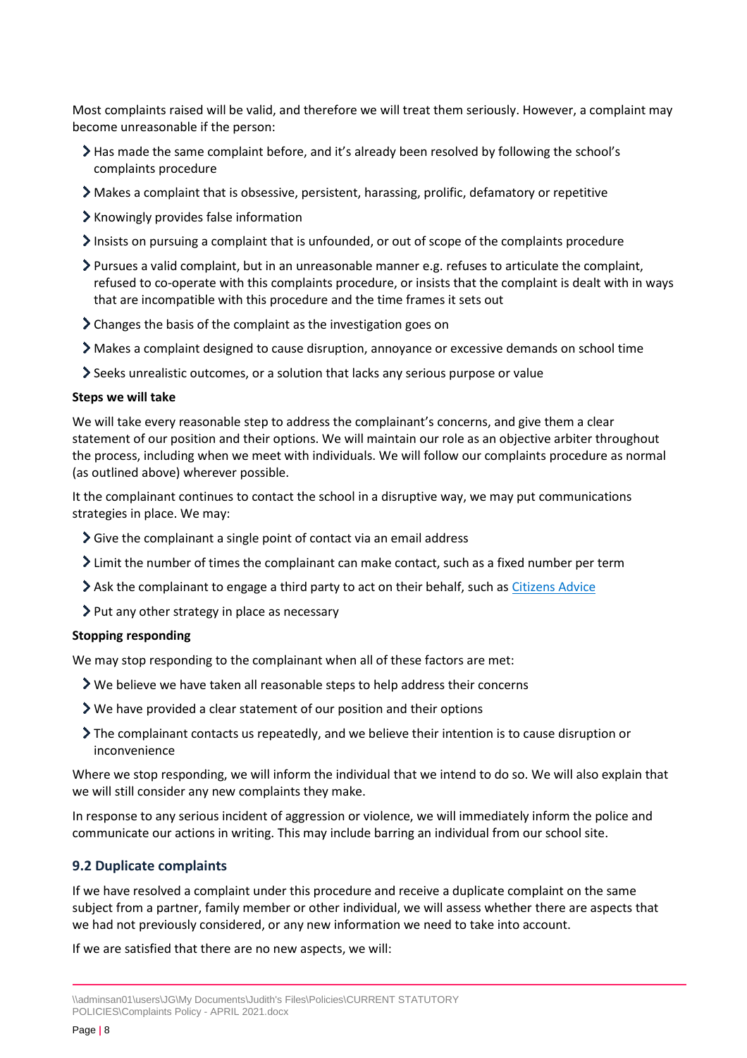Most complaints raised will be valid, and therefore we will treat them seriously. However, a complaint may become unreasonable if the person:

- Has made the same complaint before, and it's already been resolved by following the school's complaints procedure
- Makes a complaint that is obsessive, persistent, harassing, prolific, defamatory or repetitive
- Knowingly provides false information
- $\sum$  Insists on pursuing a complaint that is unfounded, or out of scope of the complaints procedure
- Pursues a valid complaint, but in an unreasonable manner e.g. refuses to articulate the complaint, refused to co-operate with this complaints procedure, or insists that the complaint is dealt with in ways that are incompatible with this procedure and the time frames it sets out
- Changes the basis of the complaint as the investigation goes on
- Makes a complaint designed to cause disruption, annoyance or excessive demands on school time
- Seeks unrealistic outcomes, or a solution that lacks any serious purpose or value

#### **Steps we will take**

We will take every reasonable step to address the complainant's concerns, and give them a clear statement of our position and their options. We will maintain our role as an objective arbiter throughout the process, including when we meet with individuals. We will follow our complaints procedure as normal (as outlined above) wherever possible.

It the complainant continues to contact the school in a disruptive way, we may put communications strategies in place. We may:

- Give the complainant a single point of contact via an email address
- Limit the number of times the complainant can make contact, such as a fixed number per term
- Ask the complainant to engage a third party to act on their behalf, such a[s Citizens Advice](https://www.citizensadvice.org.uk/)
- > Put any other strategy in place as necessary

#### **Stopping responding**

We may stop responding to the complainant when all of these factors are met:

- We believe we have taken all reasonable steps to help address their concerns
- We have provided a clear statement of our position and their options
- The complainant contacts us repeatedly, and we believe their intention is to cause disruption or inconvenience

Where we stop responding, we will inform the individual that we intend to do so. We will also explain that we will still consider any new complaints they make.

In response to any serious incident of aggression or violence, we will immediately inform the police and communicate our actions in writing. This may include barring an individual from our school site.

#### **9.2 Duplicate complaints**

If we have resolved a complaint under this procedure and receive a duplicate complaint on the same subject from a partner, family member or other individual, we will assess whether there are aspects that we had not previously considered, or any new information we need to take into account.

If we are satisfied that there are no new aspects, we will:

<sup>\\</sup>adminsan01\users\JG\My Documents\Judith's Files\Policies\CURRENT STATUTORY POLICIES\Complaints Policy - APRIL 2021.docx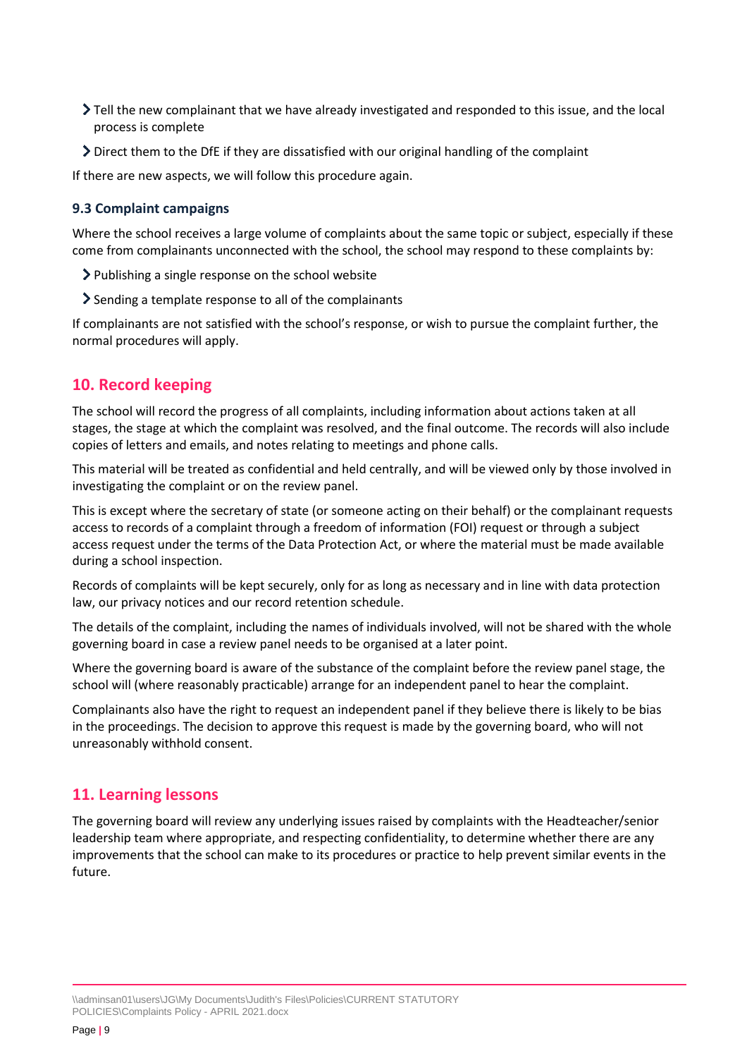- Tell the new complainant that we have already investigated and responded to this issue, and the local process is complete
- Direct them to the DfE if they are dissatisfied with our original handling of the complaint

If there are new aspects, we will follow this procedure again.

#### **9.3 Complaint campaigns**

Where the school receives a large volume of complaints about the same topic or subject, especially if these come from complainants unconnected with the school, the school may respond to these complaints by:

- Publishing a single response on the school website
- Sending a template response to all of the complainants

If complainants are not satisfied with the school's response, or wish to pursue the complaint further, the normal procedures will apply.

## <span id="page-8-0"></span>**10. Record keeping**

The school will record the progress of all complaints, including information about actions taken at all stages, the stage at which the complaint was resolved, and the final outcome. The records will also include copies of letters and emails, and notes relating to meetings and phone calls.

This material will be treated as confidential and held centrally, and will be viewed only by those involved in investigating the complaint or on the review panel.

This is except where the secretary of state (or someone acting on their behalf) or the complainant requests access to records of a complaint through a freedom of information (FOI) request or through a subject access request under the terms of the Data Protection Act, or where the material must be made available during a school inspection.

Records of complaints will be kept securely, only for as long as necessary and in line with data protection law, our privacy notices and our record retention schedule.

The details of the complaint, including the names of individuals involved, will not be shared with the whole governing board in case a review panel needs to be organised at a later point.

Where the governing board is aware of the substance of the complaint before the review panel stage, the school will (where reasonably practicable) arrange for an independent panel to hear the complaint.

Complainants also have the right to request an independent panel if they believe there is likely to be bias in the proceedings. The decision to approve this request is made by the governing board, who will not unreasonably withhold consent.

## <span id="page-8-1"></span>**11. Learning lessons**

The governing board will review any underlying issues raised by complaints with the Headteacher/senior leadership team where appropriate, and respecting confidentiality, to determine whether there are any improvements that the school can make to its procedures or practice to help prevent similar events in the future.